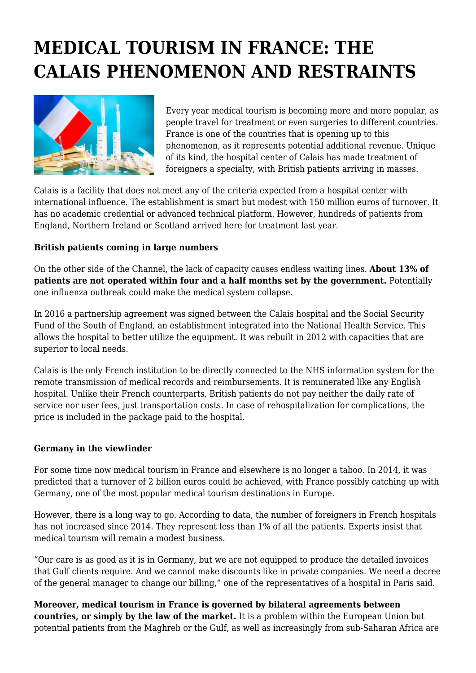## **MEDICAL TOURISM IN FRANCE: THE CALAIS PHENOMENON AND RESTRAINTS**



Every year medical tourism is becoming more and more popular, as people travel for treatment or even surgeries to different countries. France is one of the countries that is opening up to this phenomenon, as it represents potential additional revenue. Unique of its kind, the hospital center of Calais has made treatment of foreigners a specialty, with British patients arriving in masses.

Calais is a facility that does not meet any of the criteria expected from a hospital center with international influence. The establishment is smart but modest with 150 million euros of turnover. It has no academic credential or advanced technical platform. However, hundreds of patients from England, Northern Ireland or Scotland arrived here for treatment last year.

## **British patients coming in large numbers**

On the other side of the Channel, the lack of capacity causes endless waiting lines. **About 13% of patients are not operated within four and a half months set by the government.** Potentially one influenza outbreak could make the medical system collapse.

In 2016 a partnership agreement was signed between the Calais hospital and the Social Security Fund of the South of England, an establishment integrated into the National Health Service. This allows the hospital to better utilize the equipment. It was rebuilt in 2012 with capacities that are superior to local needs.

Calais is the only French institution to be directly connected to the NHS information system for the remote transmission of medical records and reimbursements. It is remunerated like any English hospital. Unlike their French counterparts, British patients do not pay neither the daily rate of service nor user fees, just transportation costs. In case of rehospitalization for complications, the price is included in the package paid to the hospital.

## **Germany in the viewfinder**

For some time now medical tourism in France and elsewhere is no longer a taboo. In 2014, it was predicted that a turnover of 2 billion euros could be achieved, with France possibly catching up with Germany, one of the most popular medical tourism destinations in Europe.

However, there is a long way to go. According to data, the number of foreigners in French hospitals has not increased since 2014. They represent less than 1% of all the patients. Experts insist that medical tourism will remain a modest business.

"Our care is as good as it is in Germany, but we are not equipped to produce the detailed invoices that Gulf clients require. And we cannot make discounts like in private companies. We need a decree of the general manager to change our billing," one of the representatives of a hospital in Paris said.

**Moreover, medical tourism in France is governed by bilateral agreements between countries, or simply by the law of the market.** It is a problem within the European Union but potential patients from the Maghreb or the Gulf, as well as increasingly from sub-Saharan Africa are